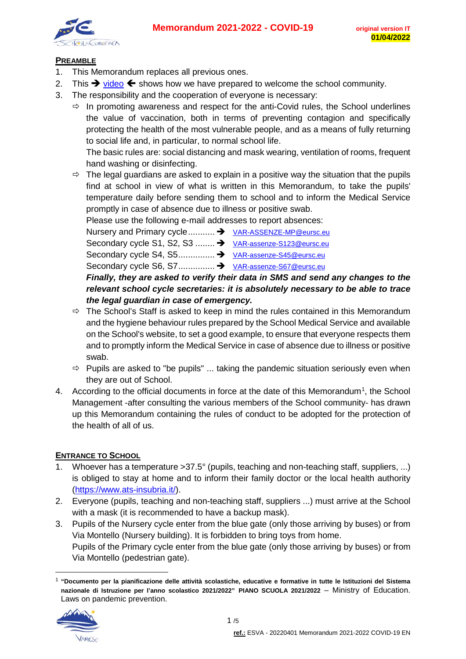

## **PREAMBLE**

- 1. This Memorandum replaces all previous ones.
- 2. This  $\rightarrow$  [video](https://www.youtube.com/watch?v=BnXnugfSzYA)  $\leftarrow$  shows how we have prepared to welcome the school community.
- 3. The responsibility and the cooperation of everyone is necessary:
	- $\Rightarrow$  In promoting awareness and respect for the anti-Covid rules, the School underlines the value of vaccination, both in terms of preventing contagion and specifically protecting the health of the most vulnerable people, and as a means of fully returning to social life and, in particular, to normal school life.

The basic rules are: social distancing and mask wearing, ventilation of rooms, frequent hand washing or disinfecting.

 $\Rightarrow$  The legal guardians are asked to explain in a positive way the situation that the pupils find at school in view of what is written in this Memorandum, to take the pupils' temperature daily before sending them to school and to inform the Medical Service promptly in case of absence due to illness or positive swab.

Please use the following e-mail addresses to report absences:

Nursery and Primary cycle........... → [VAR-ASSENZE-MP@eursc.eu](mailto:VAR-ASSENZE-MP@eursc.eu)

Secondary cycle S1, S2, S3 ........ → [VAR-assenze-S123@eursc.eu](mailto:VAR-assenze-S123@eursc.eu)

Secondary cycle S4, S5............... [VAR-assenze-S45@eursc.eu](mailto:VAR-assenze-S45@eursc.eu)

Secondary cycle S6, S7............... [VAR-assenze-S67@eursc.eu](mailto:VAR-assenze-S67@eursc.eu)

*Finally, they are asked to verify their data in SMS and send any changes to the relevant school cycle secretaries: it is absolutely necessary to be able to trace the legal guardian in case of emergency.*

- $\Rightarrow$  The School's Staff is asked to keep in mind the rules contained in this Memorandum and the hygiene behaviour rules prepared by the School Medical Service and available on the School's website, to set a good example, to ensure that everyone respects them and to promptly inform the Medical Service in case of absence due to illness or positive swab.
- $\Rightarrow$  Pupils are asked to "be pupils" ... taking the pandemic situation seriously even when they are out of School.
- 4. According to the official documents in force at the date of this Memorandum<sup>[1](#page-0-0)</sup>, the School Management -after consulting the various members of the School community- has drawn up this Memorandum containing the rules of conduct to be adopted for the protection of the health of all of us.

## **ENTRANCE TO SCHOOL**

- 1. Whoever has a temperature >37.5° (pupils, teaching and non-teaching staff, suppliers, ...) is obliged to stay at home and to inform their family doctor or the local health authority [\(https://www.ats-insubria.it/\)](https://www.ats-insubria.it/).
- 2. Everyone (pupils, teaching and non-teaching staff, suppliers ...) must arrive at the School with a mask (it is recommended to have a backup mask).
- 3. Pupils of the Nursery cycle enter from the blue gate (only those arriving by buses) or from Via Montello (Nursery building). It is forbidden to bring toys from home. Pupils of the Primary cycle enter from the blue gate (only those arriving by buses) or from Via Montello (pedestrian gate).

<span id="page-0-0"></span> <sup>1</sup> **"Documento per la pianificazione delle attività scolastiche, educative e formative in tutte le Istituzioni del Sistema nazionale di Istruzione per l'anno scolastico 2021/2022" PIANO SCUOLA 2021/2022** – Ministry of Education. Laws on pandemic prevention.

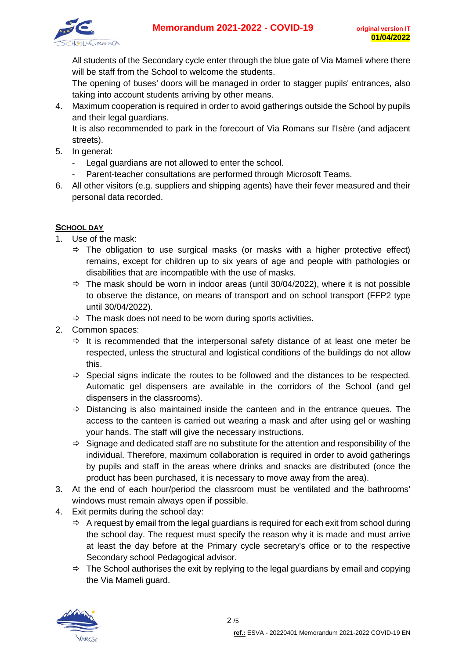

All students of the Secondary cycle enter through the blue gate of Via Mameli where there will be staff from the School to welcome the students.

The opening of buses' doors will be managed in order to stagger pupils' entrances, also taking into account students arriving by other means.

4. Maximum cooperation is required in order to avoid gatherings outside the School by pupils and their legal guardians.

It is also recommended to park in the forecourt of Via Romans sur l'Isère (and adjacent streets).

- 5. In general:
	- Legal guardians are not allowed to enter the school.
	- Parent-teacher consultations are performed through Microsoft Teams.
- 6. All other visitors (e.g. suppliers and shipping agents) have their fever measured and their personal data recorded.

## **SCHOOL DAY**

- 1. Use of the mask:
	- $\Rightarrow$  The obligation to use surgical masks (or masks with a higher protective effect) remains, except for children up to six years of age and people with pathologies or disabilities that are incompatible with the use of masks.
	- $\Rightarrow$  The mask should be worn in indoor areas (until 30/04/2022), where it is not possible to observe the distance, on means of transport and on school transport (FFP2 type until 30/04/2022).
	- $\Rightarrow$  The mask does not need to be worn during sports activities.
- 2. Common spaces:
	- $\Rightarrow$  It is recommended that the interpersonal safety distance of at least one meter be respected, unless the structural and logistical conditions of the buildings do not allow this.
	- $\Rightarrow$  Special signs indicate the routes to be followed and the distances to be respected. Automatic gel dispensers are available in the corridors of the School (and gel dispensers in the classrooms).
	- $\Rightarrow$  Distancing is also maintained inside the canteen and in the entrance queues. The access to the canteen is carried out wearing a mask and after using gel or washing your hands. The staff will give the necessary instructions.
	- $\Rightarrow$  Signage and dedicated staff are no substitute for the attention and responsibility of the individual. Therefore, maximum collaboration is required in order to avoid gatherings by pupils and staff in the areas where drinks and snacks are distributed (once the product has been purchased, it is necessary to move away from the area).
- 3. At the end of each hour/period the classroom must be ventilated and the bathrooms' windows must remain always open if possible.
- 4. Exit permits during the school day:
	- $\Rightarrow$  A request by email from the legal guardians is required for each exit from school during the school day. The request must specify the reason why it is made and must arrive at least the day before at the Primary cycle secretary's office or to the respective Secondary school Pedagogical advisor.
	- $\Rightarrow$  The School authorises the exit by replying to the legal guardians by email and copying the Via Mameli guard.

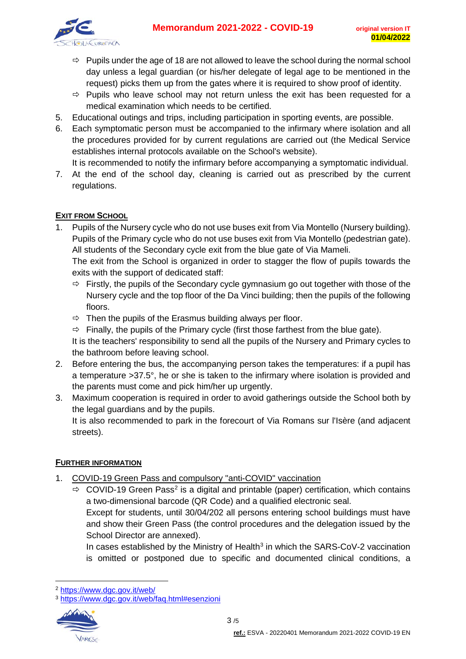

- $\Rightarrow$  Pupils under the age of 18 are not allowed to leave the school during the normal school day unless a legal guardian (or his/her delegate of legal age to be mentioned in the request) picks them up from the gates where it is required to show proof of identity.
- $\Rightarrow$  Pupils who leave school may not return unless the exit has been requested for a medical examination which needs to be certified.
- 5. Educational outings and trips, including participation in sporting events, are possible.
- 6. Each symptomatic person must be accompanied to the infirmary where isolation and all the procedures provided for by current regulations are carried out (the Medical Service establishes internal protocols available on the School's website).
	- It is recommended to notify the infirmary before accompanying a symptomatic individual.
- 7. At the end of the school day, cleaning is carried out as prescribed by the current regulations.

## **EXIT FROM SCHOOL**

1. Pupils of the Nursery cycle who do not use buses exit from Via Montello (Nursery building). Pupils of the Primary cycle who do not use buses exit from Via Montello (pedestrian gate). All students of the Secondary cycle exit from the blue gate of Via Mameli.

The exit from the School is organized in order to stagger the flow of pupils towards the exits with the support of dedicated staff:

- $\Rightarrow$  Firstly, the pupils of the Secondary cycle gymnasium go out together with those of the Nursery cycle and the top floor of the Da Vinci building; then the pupils of the following floors.
- $\Rightarrow$  Then the pupils of the Erasmus building always per floor.
- $\Rightarrow$  Finally, the pupils of the Primary cycle (first those farthest from the blue gate).

It is the teachers' responsibility to send all the pupils of the Nursery and Primary cycles to the bathroom before leaving school.

- 2. Before entering the bus, the accompanying person takes the temperatures: if a pupil has a temperature >37.5°, he or she is taken to the infirmary where isolation is provided and the parents must come and pick him/her up urgently.
- 3. Maximum cooperation is required in order to avoid gatherings outside the School both by the legal guardians and by the pupils.

It is also recommended to park in the forecourt of Via Romans sur l'Isère (and adjacent streets).

## **FURTHER INFORMATION**

- 1. COVID-19 Green Pass and compulsory "anti-COVID" vaccination
	- $\Rightarrow$  COVID-19 Green Pass<sup>[2](#page-2-0)</sup> is a digital and printable (paper) certification, which contains a two-dimensional barcode (QR Code) and a qualified electronic seal.

Except for students, until 30/04/202 all persons entering school buildings must have and show their Green Pass (the control procedures and the delegation issued by the School Director are annexed).

In cases established by the Ministry of Health $3$  in which the SARS-CoV-2 vaccination is omitted or postponed due to specific and documented clinical conditions, a

<span id="page-2-1"></span><sup>3</sup> <https://www.dgc.gov.it/web/faq.html#esenzioni>



<span id="page-2-0"></span> <sup>2</sup> <https://www.dgc.gov.it/web/>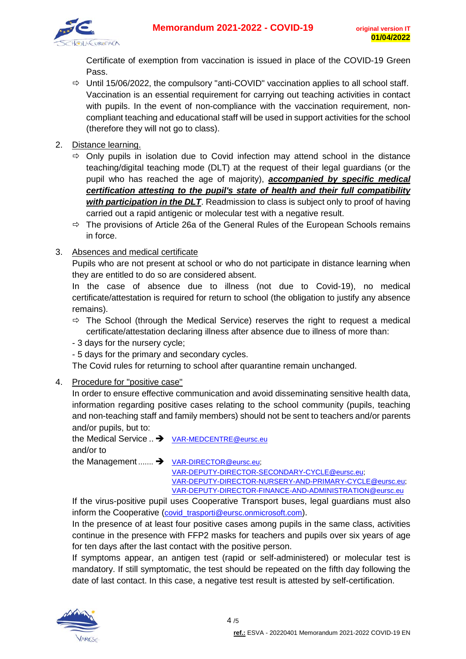

Certificate of exemption from vaccination is issued in place of the COVID-19 Green Pass.

- $\Rightarrow$  Until 15/06/2022, the compulsory "anti-COVID" vaccination applies to all school staff. Vaccination is an essential requirement for carrying out teaching activities in contact with pupils. In the event of non-compliance with the vaccination requirement, noncompliant teaching and educational staff will be used in support activities for the school (therefore they will not go to class).
- 2. Distance learning.
	- Only pupils in isolation due to Covid infection may attend school in the distance teaching/digital teaching mode (DLT) at the request of their legal guardians (or the pupil who has reached the age of majority), *accompanied by specific medical certification attesting to the pupil's state of health and their full compatibility with participation in the DLT*. Readmission to class is subject only to proof of having carried out a rapid antigenic or molecular test with a negative result.
	- $\Rightarrow$  The provisions of Article 26a of the General Rules of the European Schools remains in force.
- 3. Absences and medical certificate

Pupils who are not present at school or who do not participate in distance learning when they are entitled to do so are considered absent.

In the case of absence due to illness (not due to Covid-19), no medical certificate/attestation is required for return to school (the obligation to justify any absence remains).

- $\Rightarrow$  The School (through the Medical Service) reserves the right to request a medical certificate/attestation declaring illness after absence due to illness of more than:
- 3 days for the nursery cycle;
- 5 days for the primary and secondary cycles.

The Covid rules for returning to school after quarantine remain unchanged.

#### 4. Procedure for "positive case"

In order to ensure effective communication and avoid disseminating sensitive health data, information regarding positive cases relating to the school community (pupils, teaching and non-teaching staff and family members) should not be sent to teachers and/or parents and/or pupils, but to:

the Medical Service .. → [VAR-MEDCENTRE@eursc.eu](mailto:VAR-MEDCENTRE@eursc.eu) and/or to

the Management ....... > [VAR-DIRECTOR@eursc.eu;](mailto:VAR-DIRECTOR@eursc.eu) [VAR-DEPUTY-DIRECTOR-SECONDARY-CYCLE@eursc.eu;](mailto:VAR-DEPUTY-DIRECTOR-SECONDARY-CYCLE@eursc.eu) [VAR-DEPUTY-DIRECTOR-NURSERY-AND-PRIMARY-CYCLE@eursc.eu;](mailto:VAR-DEPUTY-DIRECTOR-NURSERY-AND-PRIMARY-CYCLE@eursc.eu) [VAR-DEPUTY-DIRECTOR-FINANCE-AND-ADMINISTRATION@eursc.eu](mailto:VAR-DEPUTY-DIRECTOR-FINANCE-AND-ADMINISTRATION@eursc.eu)

If the virus-positive pupil uses Cooperative Transport buses, legal guardians must also inform the Cooperative (covid trasporti@eursc.onmicrosoft.com).

In the presence of at least four positive cases among pupils in the same class, activities continue in the presence with FFP2 masks for teachers and pupils over six years of age for ten days after the last contact with the positive person.

If symptoms appear, an antigen test (rapid or self-administered) or molecular test is mandatory. If still symptomatic, the test should be repeated on the fifth day following the date of last contact. In this case, a negative test result is attested by self-certification.

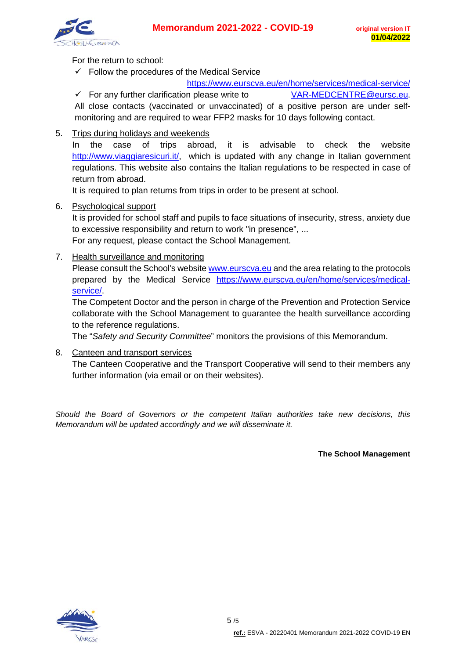

For the return to school:

 $\checkmark$  Follow the procedures of the Medical Service

<https://www.eurscva.eu/en/home/services/medical-service/>

 $\checkmark$  For any further clarification please write to  $\checkmark$  VAR-MEDCENTRE @eursc.eu. All close contacts (vaccinated or unvaccinated) of a positive person are under self-

monitoring and are required to wear FFP2 masks for 10 days following contact.

5. Trips during holidays and weekends

In the case of trips abroad, it is advisable to check the website [http://www.viaggiaresicuri.it/,](http://www.viaggiaresicuri.it/) which is updated with any change in Italian government regulations. This website also contains the Italian regulations to be respected in case of return from abroad.

It is required to plan returns from trips in order to be present at school.

6. Psychological support

It is provided for school staff and pupils to face situations of insecurity, stress, anxiety due to excessive responsibility and return to work "in presence", ... For any request, please contact the School Management.

7. Health surveillance and monitoring

Please consult the School's website [www.eurscva.eu](http://www.eurscva.eu/) and the area relating to the protocols prepared by the Medical Service [https://www.eurscva.eu/en/home/services/medical](https://www.eurscva.eu/en/home/services/medical-service/)[service/.](https://www.eurscva.eu/en/home/services/medical-service/)

The Competent Doctor and the person in charge of the Prevention and Protection Service collaborate with the School Management to guarantee the health surveillance according to the reference regulations.

The "*Safety and Security Committee*" monitors the provisions of this Memorandum.

8. Canteen and transport services

The Canteen Cooperative and the Transport Cooperative will send to their members any further information (via email or on their websites).

*Should the Board of Governors or the competent Italian authorities take new decisions, this Memorandum will be updated accordingly and we will disseminate it.*

**The School Management**

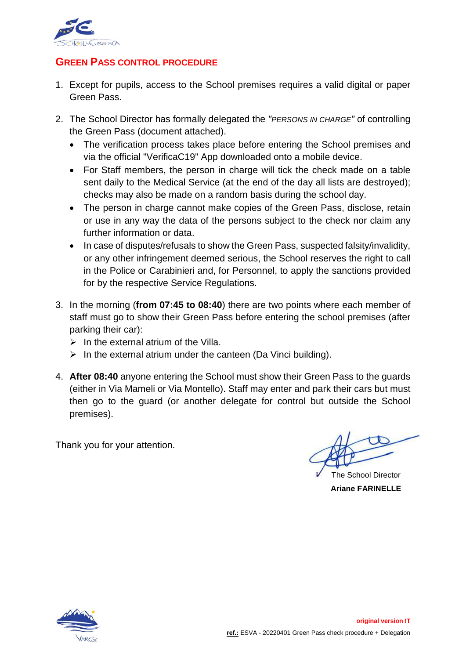

# **GREEN PASS CONTROL PROCEDURE**

- 1. Except for pupils, access to the School premises requires a valid digital or paper Green Pass.
- 2. The School Director has formally delegated the *"PERSONS IN CHARGE"* of controlling the Green Pass (document attached).
	- The verification process takes place before entering the School premises and via the official "VerificaC19" App downloaded onto a mobile device.
	- For Staff members, the person in charge will tick the check made on a table sent daily to the Medical Service (at the end of the day all lists are destroyed); checks may also be made on a random basis during the school day.
	- The person in charge cannot make copies of the Green Pass, disclose, retain or use in any way the data of the persons subject to the check nor claim any further information or data.
	- In case of disputes/refusals to show the Green Pass, suspected falsity/invalidity, or any other infringement deemed serious, the School reserves the right to call in the Police or Carabinieri and, for Personnel, to apply the sanctions provided for by the respective Service Regulations.
- 3. In the morning (**from 07:45 to 08:40**) there are two points where each member of staff must go to show their Green Pass before entering the school premises (after parking their car):
	- $\triangleright$  In the external atrium of the Villa.
	- $\triangleright$  In the external atrium under the canteen (Da Vinci building).
- 4. **After 08:40** anyone entering the School must show their Green Pass to the guards (either in Via Mameli or Via Montello). Staff may enter and park their cars but must then go to the guard (or another delegate for control but outside the School premises).

Thank you for your attention.

The School Director **Ariane FARINELLE**